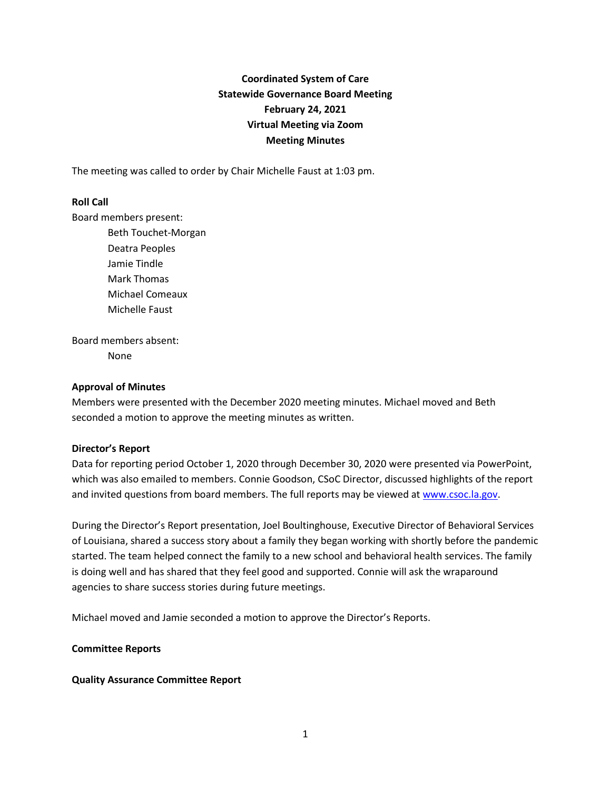# **Coordinated System of Care Statewide Governance Board Meeting February 24, 2021 Virtual Meeting via Zoom Meeting Minutes**

The meeting was called to order by Chair Michelle Faust at 1:03 pm.

#### **Roll Call**

Board members present:

Beth Touchet-Morgan Deatra Peoples Jamie Tindle Mark Thomas Michael Comeaux Michelle Faust

Board members absent: None

#### **Approval of Minutes**

Members were presented with the December 2020 meeting minutes. Michael moved and Beth seconded a motion to approve the meeting minutes as written.

#### **Director's Report**

Data for reporting period October 1, 2020 through December 30, 2020 were presented via PowerPoint, which was also emailed to members. Connie Goodson, CSoC Director, discussed highlights of the report and invited questions from board members. The full reports may be viewed a[t www.csoc.la.gov.](http://www.csoc.la.gov/)

During the Director's Report presentation, Joel Boultinghouse, Executive Director of Behavioral Services of Louisiana, shared a success story about a family they began working with shortly before the pandemic started. The team helped connect the family to a new school and behavioral health services. The family is doing well and has shared that they feel good and supported. Connie will ask the wraparound agencies to share success stories during future meetings.

Michael moved and Jamie seconded a motion to approve the Director's Reports.

#### **Committee Reports**

#### **Quality Assurance Committee Report**